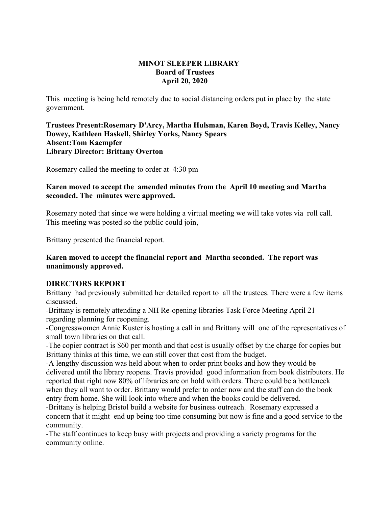#### **MINOT SLEEPER LIBRARY Board of Trustees April 20, 2020**

This meeting is being held remotely due to social distancing orders put in place by the state government.

**Trustees Present:Rosemary D'Arcy, Martha Hulsman, Karen Boyd, Travis Kelley, Nancy Dowey, Kathleen Haskell, Shirley Yorks, Nancy Spears Absent:Tom Kaempfer Library Director: Brittany Overton** 

Rosemary called the meeting to order at 4:30 pm

# **Karen moved to accept the amended minutes from the April 10 meeting and Martha seconded. The minutes were approved.**

Rosemary noted that since we were holding a virtual meeting we will take votes via roll call. This meeting was posted so the public could join,

Brittany presented the financial report.

## **Karen moved to accept the financial report and Martha seconded. The report was unanimously approved.**

# **DIRECTORS REPORT**

Brittany had previously submitted her detailed report to all the trustees. There were a few items discussed.

-Brittany is remotely attending a NH Re-opening libraries Task Force Meeting April 21 regarding planning for reopening.

-Congresswomen Annie Kuster is hosting a call in and Brittany will one of the representatives of small town libraries on that call.

-The copier contract is \$60 per month and that cost is usually offset by the charge for copies but Brittany thinks at this time, we can still cover that cost from the budget.

-A lengthy discussion was held about when to order print books and how they would be delivered until the library reopens. Travis provided good information from book distributors. He reported that right now 80% of libraries are on hold with orders. There could be a bottleneck when they all want to order. Brittany would prefer to order now and the staff can do the book entry from home. She will look into where and when the books could be delivered.

-Brittany is helping Bristol build a website for business outreach. Rosemary expressed a concern that it might end up being too time consuming but now is fine and a good service to the community.

-The staff continues to keep busy with projects and providing a variety programs for the community online.